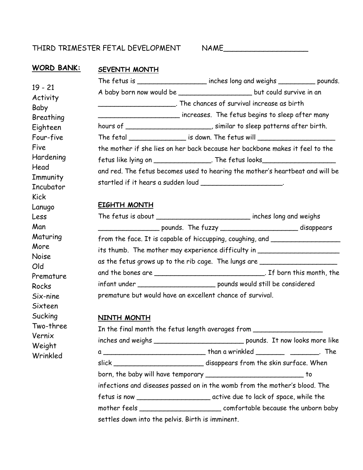## THIRD TRIMESTER FETAL DEVELOPMENT NAME

# **WORD BANK:**

19 - 21 Activity Baby

Breathing Eighteen Four-five

Hardening

**Immunity Incubator** 

Maturing More Noise Old

Premature

Rocks Six-nine Sixteen Sucking Two-three Vernix Weight Wrinkled

Five

Head

Kick Lanugo Less Man

| NK: |  | SEVENTH MONTH |  |
|-----|--|---------------|--|
|     |  |               |  |

|                                                             | The fetus is _____________________ inches long and weighs ____________ pounds.   |  |
|-------------------------------------------------------------|----------------------------------------------------------------------------------|--|
|                                                             | A baby born now would be _________________________ but could survive in an       |  |
|                                                             | ___. The chances of survival increase as birth                                   |  |
|                                                             | increases. The fetus begins to sleep after many                                  |  |
|                                                             | hours of ______________________, similar to sleep patterns after birth.          |  |
|                                                             | The fetal ___________________ is down. The fetus will __________________________ |  |
|                                                             | the mother if she lies on her back because her backbone makes it feel to the     |  |
|                                                             | fetus like lying on __________________. The fetus looks_________________________ |  |
|                                                             | and red. The fetus becomes used to hearing the mother's heartbeat and will be    |  |
| startled if it hears a sudden loud _______________________. |                                                                                  |  |

### **EIGHTH MONTH**

|                                                                                  | The fetus is about ________________________________ inches long and weighs |  |
|----------------------------------------------------------------------------------|----------------------------------------------------------------------------|--|
| _________________ pounds. The fuzzy ____________________________ disappears      |                                                                            |  |
| from the face. It is capable of hiccupping, coughing, and ______________________ |                                                                            |  |
| its thumb. The mother may experience difficulty in _____________________________ |                                                                            |  |
| as the fetus grows up to the rib cage. The lungs are                             |                                                                            |  |
| and the bones are _________________________________. If born this month, the     |                                                                            |  |
|                                                                                  |                                                                            |  |
| premature but would have an excellent chance of survival.                        |                                                                            |  |

### **NINTH MONTH**

| In the final month the fetus length averages from ______________________________ |                                                                                   |  |  |
|----------------------------------------------------------------------------------|-----------------------------------------------------------------------------------|--|--|
|                                                                                  | inches and weighs ________________________________ pounds. It now looks more like |  |  |
|                                                                                  |                                                                                   |  |  |
|                                                                                  | slick _________________________________disappears from the skin surface. When     |  |  |
| born, the baby will have temporary _________________________________ to          |                                                                                   |  |  |
| infections and diseases passed on in the womb from the mother's blood. The       |                                                                                   |  |  |
|                                                                                  |                                                                                   |  |  |
|                                                                                  |                                                                                   |  |  |
| settles down into the pelvis. Birth is imminent.                                 |                                                                                   |  |  |